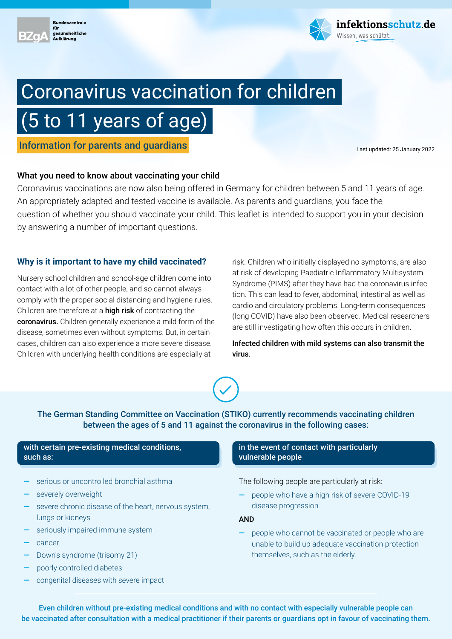



# Coronavirus vaccination for children

# (5 to 11 years of age)

**Information for parents and guardians Example 2022 Last updated: 25 January 2022** 

# What you need to know about vaccinating your child

Coronavirus vaccinations are now also being offered in Germany for children between 5 and 11 years of age. An appropriately adapted and tested vaccine is available. As parents and guardians, you face the question of whether you should vaccinate your child. This leaflet is intended to support you in your decision by answering a number of important questions.

# **Why is it important to have my child vaccinated?**

Nursery school children and school-age children come into contact with a lot of other people, and so cannot always comply with the proper social distancing and hygiene rules. Children are therefore at a high risk of contracting the coronavirus. Children generally experience a mild form of the disease, sometimes even without symptoms. But, in certain cases, children can also experience a more severe disease. Children with underlying health conditions are especially at

risk. Children who initially displayed no symptoms, are also at risk of developing Paediatric Inflammatory Multisystem Syndrome (PIMS) after they have had the coronavirus infection. This can lead to fever, abdominal, intestinal as well as cardio and circulatory problems. Long-term consequences (long COVID) have also been observed. Medical researchers are still investigating how often this occurs in children.

Infected children with mild systems can also transmit the virus.



The German Standing Committee on Vaccination (STIKO) currently recommends vaccinating children between the ages of 5 and 11 against the coronavirus in the following cases:

### with certain pre-existing medical conditions, such as:

- **—** serious or uncontrolled bronchial asthma
- severely overweight
- **—** severe chronic disease of the heart, nervous system, lungs or kidneys
- seriously impaired immune system
- **—** cancer
- **—** Down's syndrome (trisomy 21)
- **—** poorly controlled diabetes
- **—** congenital diseases with severe impact

#### in the event of contact with particularly vulnerable people

### The following people are particularly at risk:

**—** people who have a high risk of severe COVID-19 disease progression

AND

**—** people who cannot be vaccinated or people who are unable to build up adequate vaccination protection themselves, such as the elderly.

Even children without pre-existing medical conditions and with no contact with especially vulnerable people can be vaccinated after consultation with a medical practitioner if their parents or guardians opt in favour of vaccinating them.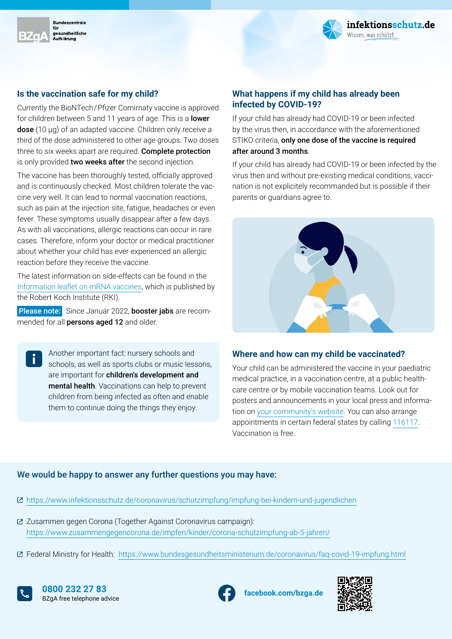



# **Is the vaccination safe for my child?**

Currently the BioNTech / Pfizer Comirnaty vaccine is approved for children between 5 and 11 years of age. This is a lower dose (10 µg) of an adapted vaccine. Children only receive a third of the dose administered to other age groups. Two doses three to six weeks apart are required. Complete protection is only provided two weeks after the second injection.

The vaccine has been thoroughly tested, officially approved and is continuously checked. Most children tolerate the vaccine very well. It can lead to normal vaccination reactions, such as pain at the injection site, fatigue, headaches or even fever. These symptoms usually disappear after a few days. As with all vaccinations, allergic reactions can occur in rare cases. Therefore, inform your doctor or medical practitioner about whether your child has ever experienced an allergic reaction before they receive the vaccine.

The latest information on side-effects can be found in the [Information leaflet on mRNA vaccines,](https://www.rki.de/DE/Content/Infekt/Impfen/Materialien/Downloads-COVID-19/Aufklaerungsbogen-de.pdf) which is published by the Robert Koch Institute (RKI).

Please note: Since Januar 2022, booster jabs are recommended for all persons aged 12 and older.

> Another important fact: nursery schools and schools, as well as sports clubs or music lessons, are important for children's development and mental health. Vaccinations can help to prevent children from being infected as often and enable them to continue doing the things they enjoy.

# **What happens if my child has already been infected by COVID-19?**

If your child has already had COVID-19 or been infected by the virus then, in accordance with the aforementioned STIKO criteria, only one dose of the vaccine is required after around 3 months.

If your child has already had COVID-19 or been infected by the virus then and without pre-existing medical conditions, vaccination is not explicitely recommanded but is possible if their parents or guardians agree to.



#### **Where and how can my child be vaccinated?**

Your child can be administered the vaccine in your paediatric medical practice, in a vaccination centre, at a public healthcare centre or by mobile vaccination teams. Look out for posters and announcements in your local press and information on [your community's website.](https://www.bundesregierung.de/breg-de/themen/corona-informationen-impfung/corona-impfung-infoseiten-1834482) You can also arrange appointments in certain federal states by calling [116117](https://www.116117.de/de/index.php). Vaccination is free.

#### We would be happy to answer any further questions you may have:

- <https://www.infektionsschutz.de/coronavirus/schutzimpfung/impfung-bei-kindern-und-jugendlichen>
- Zusammen gegen Corona (Together Against Coronavirus campaign): <https://www.zusammengegencorona.de/impfen/kinder/corona-schutzimpfung-ab-5-jahren/>
- Federal Ministry for Health:<https://www.bundesgesundheitsministerium.de/coronavirus/faq-covid-19-impfung.html>



**[facebook.com/bzga.de](https://facebook.com/bzga.de) 0800 232 27 83**  BZgA free telephone advice